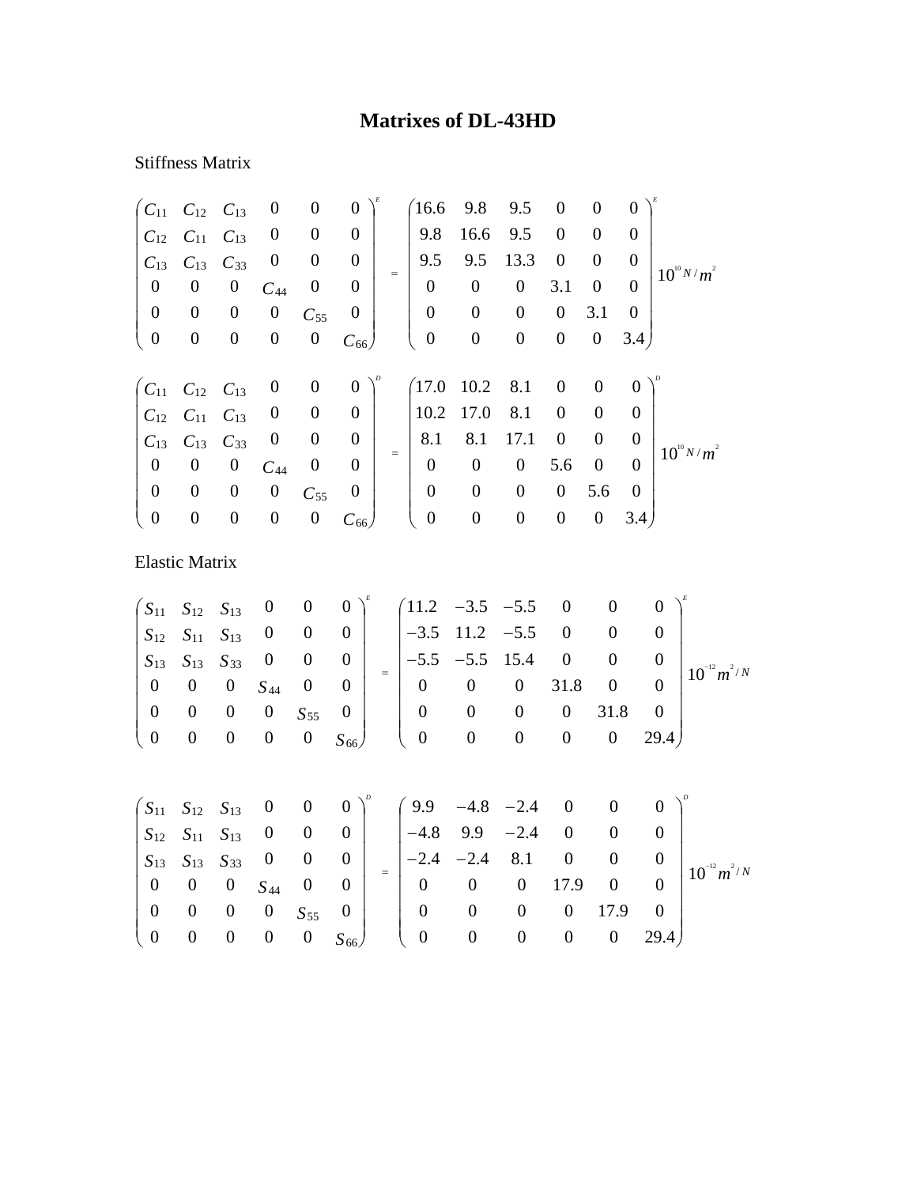## **Matrixes of DL-43HD**

## Stiffness Matrix

| $C_{11}$         | $C_{12}$              | $C_{13}$         | $\boldsymbol{0}$ | $\boldsymbol{0}$ | $\boldsymbol{0}$        |     | 16.6             | 9.8              | 9.5              | $\boldsymbol{0}$ | $\boldsymbol{0}$ | $\boldsymbol{0}$ |                                                        |
|------------------|-----------------------|------------------|------------------|------------------|-------------------------|-----|------------------|------------------|------------------|------------------|------------------|------------------|--------------------------------------------------------|
| $C_{12}$         | $C_{11}$              | $C_{13}$         | $\boldsymbol{0}$ | $\boldsymbol{0}$ | $\boldsymbol{0}$        |     | 9.8              | 16.6             | 9.5              | $\boldsymbol{0}$ | 0                | $\boldsymbol{0}$ |                                                        |
| $C_{13}$         | $C_{13}$              | $C_{33}$         | $\boldsymbol{0}$ | $\boldsymbol{0}$ | $\boldsymbol{0}$        |     | 9.5              | 9.5              | 13.3             | $\boldsymbol{0}$ | 0                | $\boldsymbol{0}$ | $10^{10} N/m^2$                                        |
| $\boldsymbol{0}$ | $\boldsymbol{0}$      | $\boldsymbol{0}$ | $C_{44}$         | $\boldsymbol{0}$ | $\boldsymbol{0}$        | $=$ | $\boldsymbol{0}$ | $\boldsymbol{0}$ | $\boldsymbol{0}$ | 3.1              | $\boldsymbol{0}$ | $\overline{0}$   |                                                        |
| $\boldsymbol{0}$ | $\boldsymbol{0}$      | $\boldsymbol{0}$ | $\boldsymbol{0}$ | $C_{55}$         | $\boldsymbol{0}$        |     | $\boldsymbol{0}$ | $\boldsymbol{0}$ | $\boldsymbol{0}$ | $\boldsymbol{0}$ | 3.1              | $\boldsymbol{0}$ |                                                        |
| $\boldsymbol{0}$ | $\boldsymbol{0}$      | $\boldsymbol{0}$ | $\boldsymbol{0}$ | $\boldsymbol{0}$ | $C_{66}$                |     | $\boldsymbol{0}$ | $\boldsymbol{0}$ | $\boldsymbol{0}$ | $\boldsymbol{0}$ | $\boldsymbol{0}$ | 3.4)             |                                                        |
|                  |                       |                  |                  |                  |                         |     |                  |                  |                  |                  |                  |                  |                                                        |
| $C_{11}$         | $C_{12}$              | $C_{13}$         | $\boldsymbol{0}$ | $\boldsymbol{0}$ | $\boldsymbol{0}$        |     | 17.0             | 10.2             | 8.1              | $\boldsymbol{0}$ | $\boldsymbol{0}$ | $\boldsymbol{0}$ |                                                        |
| $C_{12}$         | $C_{11}$              | $C_{13}$         | $\boldsymbol{0}$ | $\boldsymbol{0}$ | $\boldsymbol{0}$        |     | 10.2             | 17.0             | 8.1              | $\boldsymbol{0}$ | $\boldsymbol{0}$ | $\theta$         |                                                        |
| $C_{13}$         | $C_{13}$              | $C_{33}$         | $\boldsymbol{0}$ | $\boldsymbol{0}$ | $\boldsymbol{0}$        |     | 8.1              | 8.1              | 17.1             | $\boldsymbol{0}$ | $\boldsymbol{0}$ | $\boldsymbol{0}$ | $10^{10} N/m^2$                                        |
| $\boldsymbol{0}$ | $\boldsymbol{0}$      | $\boldsymbol{0}$ | $C_{44}$         | $\boldsymbol{0}$ | $\theta$                | $=$ | $\boldsymbol{0}$ | $\boldsymbol{0}$ | $\boldsymbol{0}$ | 5.6              | $\boldsymbol{0}$ | $\overline{0}$   |                                                        |
| $\boldsymbol{0}$ | $\boldsymbol{0}$      | $\boldsymbol{0}$ | $\boldsymbol{0}$ | $C_{55}$         | $\boldsymbol{0}$        |     | $\boldsymbol{0}$ | $\boldsymbol{0}$ | $\boldsymbol{0}$ | $\boldsymbol{0}$ | 5.6              | $\boldsymbol{0}$ |                                                        |
| $\boldsymbol{0}$ | $\boldsymbol{0}$      | $\boldsymbol{0}$ | $\boldsymbol{0}$ | $\boldsymbol{0}$ | $C_{66}$                |     | $\boldsymbol{0}$ | $\boldsymbol{0}$ | $\boldsymbol{0}$ | $\boldsymbol{0}$ | $\boldsymbol{0}$ | 3.4 <sub>l</sub> |                                                        |
|                  | <b>Elastic Matrix</b> |                  |                  |                  |                         |     |                  |                  |                  |                  |                  |                  |                                                        |
| $S_{11}$         | $S_{12}$              | $S_{13}$         | $\boldsymbol{0}$ | $\boldsymbol{0}$ | $\boldsymbol{0}$        |     | 11.2             | $-3.5$           | $-5.5$           | $\boldsymbol{0}$ | $\boldsymbol{0}$ |                  | $\boldsymbol{0}$                                       |
| $S_{12}$         | $S_{11}$              | $S_{13}$         | $\boldsymbol{0}$ | $\boldsymbol{0}$ | $\boldsymbol{0}$        |     | $-3.5$           | 11.2             | $-5.5$           | $\boldsymbol{0}$ | $\boldsymbol{0}$ |                  | $\boldsymbol{0}$                                       |
| $S_{13}$         | $S_{13}$              | $S_{33}$         | $\boldsymbol{0}$ | $\boldsymbol{0}$ | $\boldsymbol{0}$        |     | $-5.5$           | $-5.5$           | 15.4             | $\boldsymbol{0}$ | $\boldsymbol{0}$ |                  | $\boldsymbol{0}$                                       |
| $\boldsymbol{0}$ | $\boldsymbol{0}$      | $\boldsymbol{0}$ | $S_{44}$         | $\boldsymbol{0}$ | $=$<br>$\boldsymbol{0}$ |     | $\boldsymbol{0}$ | $\boldsymbol{0}$ | $\boldsymbol{0}$ | 31.8             | $\boldsymbol{0}$ |                  | $\tilde{\mathcal{M}}^{^2/N}$<br>10<br>$\boldsymbol{0}$ |

|  |  |  | $\begin{pmatrix} 0 & 0 & 0 & 0 & 0 & S_{66} \end{pmatrix}$ $\begin{pmatrix} 0 & 0 & 0 & 0 & 0 & 29.4 \end{pmatrix}$ |  |  |  |
|--|--|--|---------------------------------------------------------------------------------------------------------------------|--|--|--|

|                                                                                         |  |                                |  |             | $(S_{11} S_{12} S_{13} 0 0 0)^{\nu} (9.9 -4.8 -2.4 0 0 0)^{\nu}$                                                           |   |                |                |                |                  |
|-----------------------------------------------------------------------------------------|--|--------------------------------|--|-------------|----------------------------------------------------------------------------------------------------------------------------|---|----------------|----------------|----------------|------------------|
|                                                                                         |  | $S_{12}$ $S_{11}$ $S_{13}$ 0 0 |  |             | $0$   $-4.8$ 9.9 $-2.4$                                                                                                    |   | $\overline{0}$ | $\overline{0}$ |                |                  |
|                                                                                         |  |                                |  |             | $\begin{vmatrix} S_{13} & S_{13} & S_{33} & 0 & 0 & 0 \end{vmatrix}$ $\begin{vmatrix} -2.4 & -2.4 & 8.1 & 0 \end{vmatrix}$ |   |                | $\overline{0}$ |                | $10^{-12} m^2/N$ |
| $\begin{pmatrix} 0 & 0 & 0 & S_{44} & 0 & 0 \end{pmatrix}$                              |  |                                |  |             |                                                                                                                            |   |                |                |                |                  |
|                                                                                         |  |                                |  | $0\qquad 0$ |                                                                                                                            |   | $\theta$       | 17.9 0         |                |                  |
| $\begin{bmatrix} 0 & 0 & 0 & 0 & S_{55} & 0 \ 0 & 0 & 0 & 0 & 0 & S_{66} \end{bmatrix}$ |  |                                |  |             | $0 S_{66}$ ( 0 0                                                                                                           | 0 |                |                | $0 \quad 29.4$ |                  |